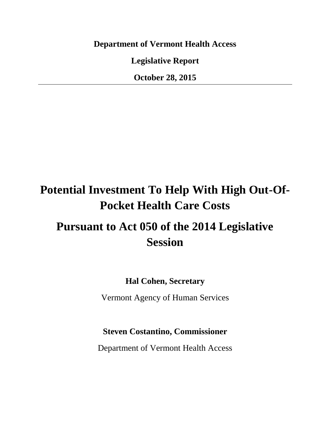**Department of Vermont Health Access**

**Legislative Report**

**October 28, 2015**

## **Potential Investment To Help With High Out-Of-Pocket Health Care Costs**

## **Pursuant to Act 050 of the 2014 Legislative Session**

**Hal Cohen, Secretary**

Vermont Agency of Human Services

## **Steven Costantino, Commissioner**

Department of Vermont Health Access